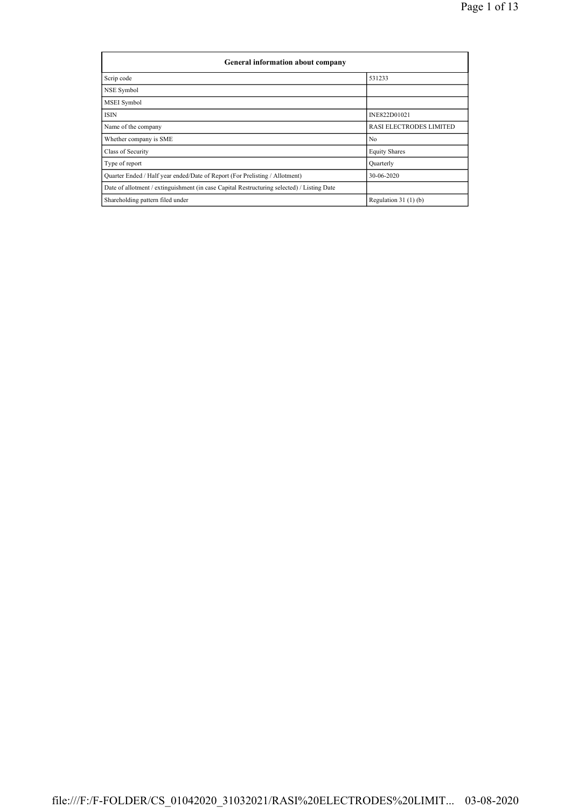| <b>General information about company</b>                                                   |                                |  |  |  |  |  |  |  |
|--------------------------------------------------------------------------------------------|--------------------------------|--|--|--|--|--|--|--|
| Scrip code                                                                                 | 531233                         |  |  |  |  |  |  |  |
| NSE Symbol                                                                                 |                                |  |  |  |  |  |  |  |
| MSEI Symbol                                                                                |                                |  |  |  |  |  |  |  |
| <b>ISIN</b>                                                                                | INE822D01021                   |  |  |  |  |  |  |  |
| Name of the company                                                                        | <b>RASI ELECTRODES LIMITED</b> |  |  |  |  |  |  |  |
| Whether company is SME                                                                     | N <sub>0</sub>                 |  |  |  |  |  |  |  |
| Class of Security                                                                          | <b>Equity Shares</b>           |  |  |  |  |  |  |  |
| Type of report                                                                             | Quarterly                      |  |  |  |  |  |  |  |
| Quarter Ended / Half year ended/Date of Report (For Prelisting / Allotment)                | 30-06-2020                     |  |  |  |  |  |  |  |
| Date of allotment / extinguishment (in case Capital Restructuring selected) / Listing Date |                                |  |  |  |  |  |  |  |
| Shareholding pattern filed under                                                           | Regulation $31(1)(b)$          |  |  |  |  |  |  |  |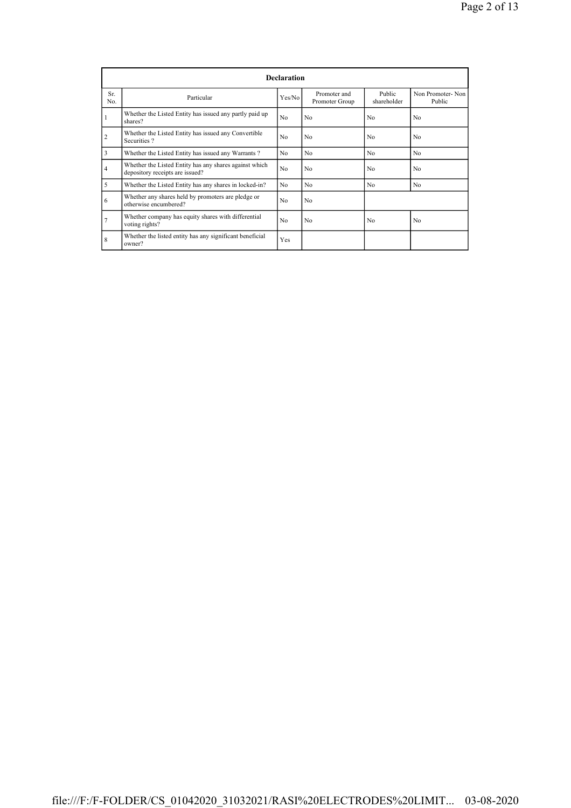|           | <b>Declaration</b>                                                                        |                |                                |                       |                            |  |  |  |  |  |
|-----------|-------------------------------------------------------------------------------------------|----------------|--------------------------------|-----------------------|----------------------------|--|--|--|--|--|
| Sr<br>No. | Particular                                                                                | Yes/No         | Promoter and<br>Promoter Group | Public<br>shareholder | Non Promoter-Non<br>Public |  |  |  |  |  |
|           | Whether the Listed Entity has issued any partly paid up<br>shares?                        | N <sub>0</sub> | N <sub>0</sub>                 | N <sub>0</sub>        | N <sub>0</sub>             |  |  |  |  |  |
| 2         | Whether the Listed Entity has issued any Convertible<br>Securities?                       | N <sub>0</sub> | No                             | N <sub>0</sub>        | N <sub>0</sub>             |  |  |  |  |  |
| 3         | Whether the Listed Entity has issued any Warrants?                                        | N <sub>0</sub> | No                             | N <sub>0</sub>        | N <sub>0</sub>             |  |  |  |  |  |
| 4         | Whether the Listed Entity has any shares against which<br>depository receipts are issued? |                | No                             | N <sub>0</sub>        | N <sub>0</sub>             |  |  |  |  |  |
| 5         | Whether the Listed Entity has any shares in locked-in?                                    | N <sub>0</sub> | No                             | N <sub>0</sub>        | N <sub>0</sub>             |  |  |  |  |  |
| 6         | Whether any shares held by promoters are pledge or<br>otherwise encumbered?               | N <sub>0</sub> | No                             |                       |                            |  |  |  |  |  |
|           | Whether company has equity shares with differential<br>voting rights?                     | N <sub>0</sub> | N <sub>0</sub>                 | No                    | N <sub>0</sub>             |  |  |  |  |  |
| 8         | Whether the listed entity has any significant beneficial<br>owner?                        | Yes            |                                |                       |                            |  |  |  |  |  |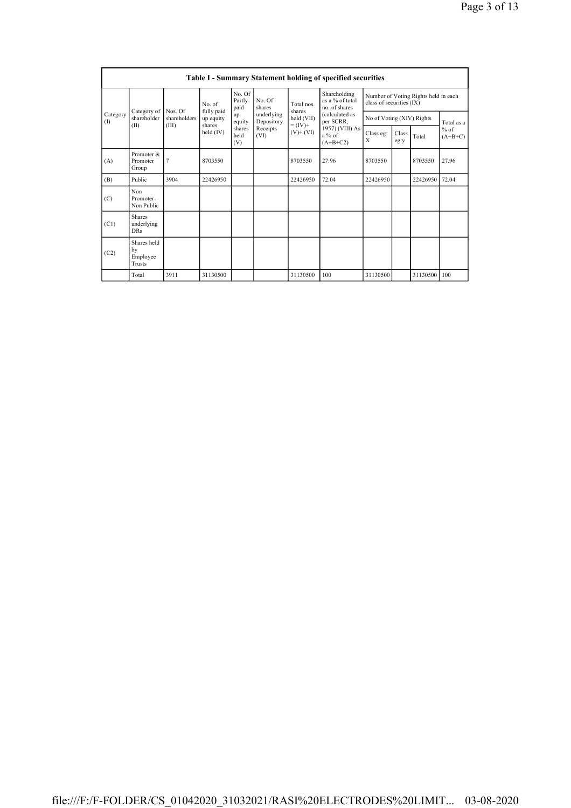|                 | <b>Table I - Summary Statement holding of specified securities</b> |                |                                                           |                           |                          |                                            |                                                                        |                                                                  |               |              |                     |
|-----------------|--------------------------------------------------------------------|----------------|-----------------------------------------------------------|---------------------------|--------------------------|--------------------------------------------|------------------------------------------------------------------------|------------------------------------------------------------------|---------------|--------------|---------------------|
| Category<br>(1) |                                                                    | Nos. Of        | No of<br>fully paid<br>up equity<br>shares<br>held $(IV)$ | No. Of<br>Partly<br>paid- | No. Of<br>shares         | Total nos<br>shares                        | Shareholding<br>as a % of total<br>no. of shares                       | Number of Voting Rights held in each<br>class of securities (IX) |               |              |                     |
|                 | Category of<br>shareholder                                         | shareholders   |                                                           | up<br>equity              | underlying<br>Depository | held (VII)<br>$= (IV) +$<br>$(V)$ + $(VI)$ | (calculated as<br>per SCRR,<br>1957) (VIII) As<br>a % of<br>$(A+B+C2)$ | No of Voting (XIV) Rights                                        |               |              | Total as a          |
|                 | (II)                                                               | (III)          |                                                           | shares<br>held<br>(V)     | Receipts<br>(VI)         |                                            |                                                                        | Class eg:<br>X                                                   | Class<br>eg:y | Total        | $%$ of<br>$(A+B+C)$ |
| (A)             | Promoter &<br>Promoter<br>Group                                    | $\overline{7}$ | 8703550                                                   |                           |                          | 8703550                                    | 27.96                                                                  | 8703550                                                          |               | 8703550      | 27.96               |
| (B)             | Public                                                             | 3904           | 22426950                                                  |                           |                          | 22426950                                   | 72.04                                                                  | 22426950                                                         |               | 22426950     | 72.04               |
| (C)             | Non<br>Promoter-<br>Non Public                                     |                |                                                           |                           |                          |                                            |                                                                        |                                                                  |               |              |                     |
| (C1)            | <b>Shares</b><br>underlying<br><b>DRs</b>                          |                |                                                           |                           |                          |                                            |                                                                        |                                                                  |               |              |                     |
| (C2)            | Shares held<br>by<br>Employee<br>Trusts                            |                |                                                           |                           |                          |                                            |                                                                        |                                                                  |               |              |                     |
|                 | Total                                                              | 3911           | 31130500                                                  |                           |                          | 31130500                                   | 100                                                                    | 31130500                                                         |               | 31130500 100 |                     |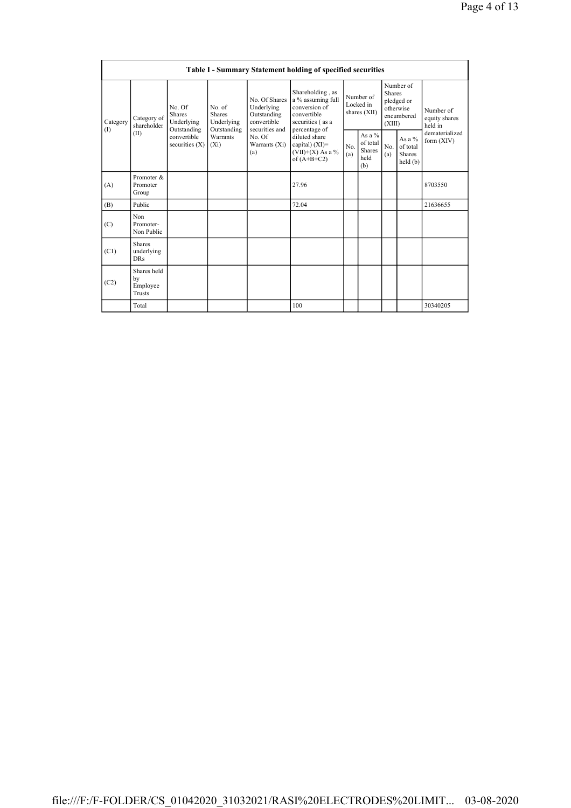| Table I - Summary Statement holding of specified securities |                                           |                                                      |                                                      |                                                                             |                                                                                                            |                                        |                                                      |                                                                               |                                                   |                                       |
|-------------------------------------------------------------|-------------------------------------------|------------------------------------------------------|------------------------------------------------------|-----------------------------------------------------------------------------|------------------------------------------------------------------------------------------------------------|----------------------------------------|------------------------------------------------------|-------------------------------------------------------------------------------|---------------------------------------------------|---------------------------------------|
| Category<br>(I)                                             | Category of<br>shareholder<br>(II)        | No. Of<br><b>Shares</b><br>Underlying<br>Outstanding | No. of<br><b>Shares</b><br>Underlying<br>Outstanding | No. Of Shares<br>Underlying<br>Outstanding<br>convertible<br>securities and | Shareholding, as<br>a % assuming full<br>conversion of<br>convertible<br>securities (as a<br>percentage of | Number of<br>Locked in<br>shares (XII) |                                                      | Number of<br><b>Shares</b><br>pledged or<br>otherwise<br>encumbered<br>(XIII) |                                                   | Number of<br>equity shares<br>held in |
|                                                             |                                           | convertible<br>securities $(X)$                      | Warrants<br>$(X_i)$                                  | No. Of<br>Warrants (Xi)<br>(a)                                              | diluted share<br>capital) $(XI)$ =<br>$(VII)+(X)$ As a %<br>of $(A+B+C2)$                                  | No<br>(a)                              | As a $%$<br>of total<br><b>Shares</b><br>held<br>(b) | N <sub>0</sub><br>(a)                                                         | As a $%$<br>of total<br><b>Shares</b><br>held (b) | dematerialized<br>form $(XIV)$        |
| (A)                                                         | Promoter &<br>Promoter<br>Group           |                                                      |                                                      |                                                                             | 27.96                                                                                                      |                                        |                                                      |                                                                               |                                                   | 8703550                               |
| (B)                                                         | Public                                    |                                                      |                                                      |                                                                             | 72.04                                                                                                      |                                        |                                                      |                                                                               |                                                   | 21636655                              |
| (C)                                                         | Non<br>Promoter-<br>Non Public            |                                                      |                                                      |                                                                             |                                                                                                            |                                        |                                                      |                                                                               |                                                   |                                       |
| (C1)                                                        | <b>Shares</b><br>underlying<br><b>DRs</b> |                                                      |                                                      |                                                                             |                                                                                                            |                                        |                                                      |                                                                               |                                                   |                                       |
| (C2)                                                        | Shares held<br>by<br>Employee<br>Trusts   |                                                      |                                                      |                                                                             |                                                                                                            |                                        |                                                      |                                                                               |                                                   |                                       |
|                                                             | Total                                     |                                                      |                                                      |                                                                             | 100                                                                                                        |                                        |                                                      |                                                                               |                                                   | 30340205                              |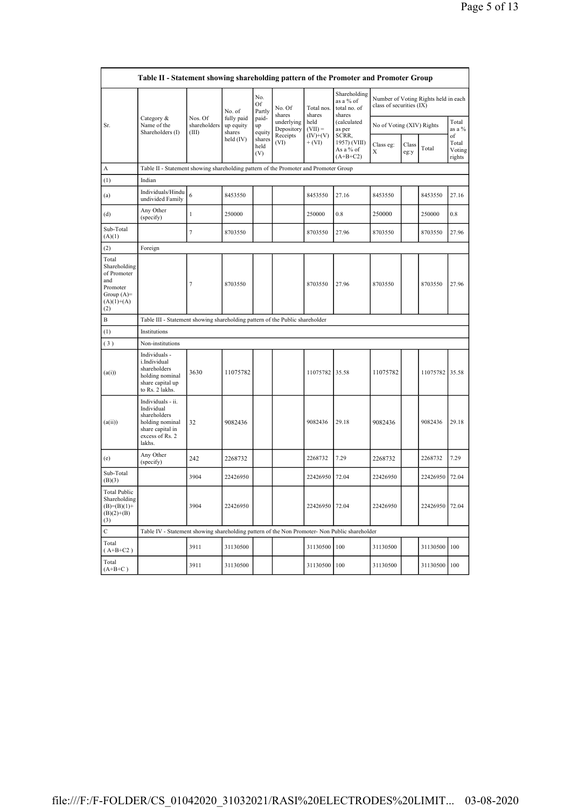|                                                                                                | Table II - Statement showing shareholding pattern of the Promoter and Promoter Group                                |                                  |                                             |                       |                          |                        |                                                     |                           |               |                                      |                                 |
|------------------------------------------------------------------------------------------------|---------------------------------------------------------------------------------------------------------------------|----------------------------------|---------------------------------------------|-----------------------|--------------------------|------------------------|-----------------------------------------------------|---------------------------|---------------|--------------------------------------|---------------------------------|
|                                                                                                | Category &<br>Name of the<br>Shareholders (I)                                                                       |                                  | No. of<br>fully paid<br>up equity<br>shares | No.<br>Of<br>Partly   | No. Of<br>shares         | Total nos.<br>shares   | Shareholding<br>as a % of<br>total no. of<br>shares | class of securities (IX)  |               | Number of Voting Rights held in each |                                 |
| Sr.                                                                                            |                                                                                                                     | Nos. Of<br>shareholders<br>(III) |                                             | paid-<br>up<br>equity | underlying<br>Depository | held<br>$(VII) =$      | (calculated<br>as per                               | No of Voting (XIV) Rights |               |                                      | Total<br>as a %                 |
|                                                                                                |                                                                                                                     |                                  | held (IV)                                   | shares<br>held<br>(V) | Receipts<br>(VI)         | $(IV)+(V)$<br>$+ (VI)$ | SCRR,<br>1957) (VIII)<br>As a % of<br>$(A+B+C2)$    | Class eg:<br>X            | Class<br>eg:y | Total                                | of<br>Total<br>Voting<br>rights |
| А                                                                                              | Table II - Statement showing shareholding pattern of the Promoter and Promoter Group                                |                                  |                                             |                       |                          |                        |                                                     |                           |               |                                      |                                 |
| (1)                                                                                            | Indian                                                                                                              |                                  |                                             |                       |                          |                        |                                                     |                           |               |                                      |                                 |
| (a)                                                                                            | Individuals/Hindu<br>undivided Family                                                                               | 6                                | 8453550                                     |                       |                          | 8453550                | 27.16                                               | 8453550                   |               | 8453550                              | 27.16                           |
| (d)                                                                                            | Any Other<br>(specify)                                                                                              | 1                                | 250000                                      |                       |                          | 250000                 | 0.8                                                 | 250000                    |               | 250000                               | 0.8                             |
| Sub-Total<br>(A)(1)                                                                            |                                                                                                                     | 7                                | 8703550                                     |                       |                          | 8703550                | 27.96                                               | 8703550                   |               | 8703550                              | 27.96                           |
| (2)                                                                                            | Foreign                                                                                                             |                                  |                                             |                       |                          |                        |                                                     |                           |               |                                      |                                 |
| Total<br>Shareholding<br>of Promoter<br>and<br>Promoter<br>Group $(A)=$<br>$(A)(1)+(A)$<br>(2) |                                                                                                                     | 7                                | 8703550                                     |                       |                          | 8703550                | 27.96                                               | 8703550                   |               | 8703550                              | 27.96                           |
| B                                                                                              | Table III - Statement showing shareholding pattern of the Public shareholder                                        |                                  |                                             |                       |                          |                        |                                                     |                           |               |                                      |                                 |
| (1)                                                                                            | Institutions                                                                                                        |                                  |                                             |                       |                          |                        |                                                     |                           |               |                                      |                                 |
| (3)                                                                                            | Non-institutions                                                                                                    |                                  |                                             |                       |                          |                        |                                                     |                           |               |                                      |                                 |
| (a(i))                                                                                         | Individuals -<br>i.Individual<br>shareholders<br>holding nominal<br>share capital up<br>to Rs. 2 lakhs.             | 3630                             | 11075782                                    |                       |                          | 11075782 35.58         |                                                     | 11075782                  |               | 11075782 35.58                       |                                 |
| (a(ii))                                                                                        | Individuals - ii.<br>Individual<br>shareholders<br>holding nominal<br>share capital in<br>excess of Rs. 2<br>lakhs. | 32                               | 9082436                                     |                       |                          | 9082436                | 29.18                                               | 9082436                   |               | 9082436                              | 29.18                           |
| (e)                                                                                            | Any Other<br>(specify)                                                                                              | 242                              | 2268732                                     |                       |                          | 2268732                | 7.29                                                | 2268732                   |               | 2268732                              | 7.29                            |
| Sub-Total<br>(B)(3)                                                                            |                                                                                                                     | 3904                             | 22426950                                    |                       |                          | 22426950               | 72.04                                               | 22426950                  |               | 22426950                             | 72.04                           |
| <b>Total Public</b><br>Shareholding<br>$(B)=(B)(1)+$<br>$(B)(2)+(B)$<br>(3)                    |                                                                                                                     | 3904                             | 22426950                                    |                       |                          | 22426950 72.04         |                                                     | 22426950                  |               | 22426950                             | 72.04                           |
| $\mathbf C$                                                                                    | Table IV - Statement showing shareholding pattern of the Non Promoter- Non Public shareholder                       |                                  |                                             |                       |                          |                        |                                                     |                           |               |                                      |                                 |
| Total<br>$(A+B+C2)$                                                                            |                                                                                                                     | 3911                             | 31130500                                    |                       |                          | 31130500               | 100                                                 | 31130500                  |               | 31130500                             | 100                             |
| Total<br>$(A+B+C)$                                                                             |                                                                                                                     | 3911                             | 31130500                                    |                       |                          | 31130500 100           |                                                     | 31130500                  |               | 31130500                             | 100                             |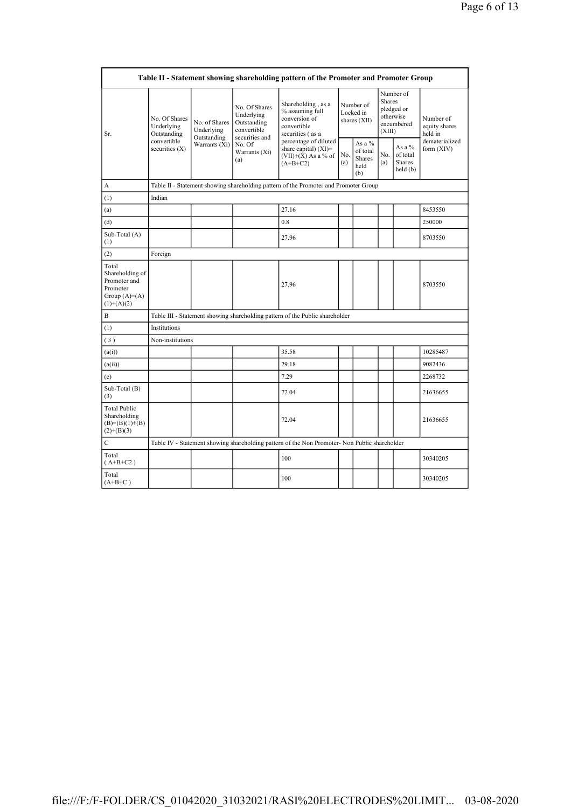|                                                                                        | Table II - Statement showing shareholding pattern of the Promoter and Promoter Group |                                            |                                                                                                               |                                                                                               |                                        |                                                    |                                                                               |                                                  |                                       |
|----------------------------------------------------------------------------------------|--------------------------------------------------------------------------------------|--------------------------------------------|---------------------------------------------------------------------------------------------------------------|-----------------------------------------------------------------------------------------------|----------------------------------------|----------------------------------------------------|-------------------------------------------------------------------------------|--------------------------------------------------|---------------------------------------|
| Sr.                                                                                    | No. Of Shares<br>Underlying<br>Outstanding<br>convertible<br>securities $(X)$        | No. of Shares<br>Underlying<br>Outstanding | No. Of Shares<br>Underlying<br>Outstanding<br>convertible<br>securities and<br>No. Of<br>Warrants (Xi)<br>(a) | Shareholding, as a<br>% assuming full<br>conversion of<br>convertible<br>securities (as a     | Number of<br>Locked in<br>shares (XII) |                                                    | Number of<br><b>Shares</b><br>pledged or<br>otherwise<br>encumbered<br>(XIII) |                                                  | Number of<br>equity shares<br>held in |
|                                                                                        |                                                                                      | Warrants $(Xi)$                            |                                                                                                               | percentage of diluted<br>share capital) $(XI)$ =<br>$(VII)+(X)$ As a % of<br>$(A+B+C2)$       | No.<br>(a)                             | As a %<br>of total<br><b>Shares</b><br>held<br>(b) | No.<br>(a)                                                                    | As a $%$<br>of total<br><b>Shares</b><br>held(b) | dematerialized<br>form $(XIV)$        |
| A                                                                                      |                                                                                      |                                            |                                                                                                               | Table II - Statement showing shareholding pattern of the Promoter and Promoter Group          |                                        |                                                    |                                                                               |                                                  |                                       |
| (1)                                                                                    | Indian                                                                               |                                            |                                                                                                               |                                                                                               |                                        |                                                    |                                                                               |                                                  |                                       |
| (a)                                                                                    |                                                                                      |                                            |                                                                                                               | 27.16                                                                                         |                                        |                                                    |                                                                               |                                                  | 8453550                               |
| (d)                                                                                    |                                                                                      |                                            |                                                                                                               | 0.8                                                                                           |                                        |                                                    |                                                                               |                                                  | 250000                                |
| Sub-Total (A)<br>(1)                                                                   |                                                                                      |                                            |                                                                                                               | 27.96                                                                                         |                                        |                                                    |                                                                               |                                                  | 8703550                               |
| (2)                                                                                    | Foreign                                                                              |                                            |                                                                                                               |                                                                                               |                                        |                                                    |                                                                               |                                                  |                                       |
| Total<br>Shareholding of<br>Promoter and<br>Promoter<br>Group $(A)=A)$<br>$(1)+(A)(2)$ |                                                                                      |                                            |                                                                                                               | 27.96                                                                                         |                                        |                                                    |                                                                               |                                                  | 8703550                               |
| B                                                                                      |                                                                                      |                                            |                                                                                                               | Table III - Statement showing shareholding pattern of the Public shareholder                  |                                        |                                                    |                                                                               |                                                  |                                       |
| (1)                                                                                    | Institutions                                                                         |                                            |                                                                                                               |                                                                                               |                                        |                                                    |                                                                               |                                                  |                                       |
| (3)                                                                                    | Non-institutions                                                                     |                                            |                                                                                                               |                                                                                               |                                        |                                                    |                                                                               |                                                  |                                       |
| (a(i))                                                                                 |                                                                                      |                                            |                                                                                                               | 35.58                                                                                         |                                        |                                                    |                                                                               |                                                  | 10285487                              |
| (a(ii))                                                                                |                                                                                      |                                            |                                                                                                               | 29.18                                                                                         |                                        |                                                    |                                                                               |                                                  | 9082436                               |
| (e)                                                                                    |                                                                                      |                                            |                                                                                                               | 7.29                                                                                          |                                        |                                                    |                                                                               |                                                  | 2268732                               |
| Sub-Total (B)<br>(3)                                                                   |                                                                                      |                                            |                                                                                                               | 72.04                                                                                         |                                        |                                                    |                                                                               |                                                  | 21636655                              |
| <b>Total Public</b><br>Shareholding<br>$(B)=(B)(1)+(B)$<br>$(2)+(B)(3)$                |                                                                                      |                                            |                                                                                                               | 72.04                                                                                         |                                        |                                                    |                                                                               |                                                  | 21636655                              |
| $\mathbf C$                                                                            |                                                                                      |                                            |                                                                                                               | Table IV - Statement showing shareholding pattern of the Non Promoter- Non Public shareholder |                                        |                                                    |                                                                               |                                                  |                                       |
| Total<br>$(A+B+C2)$                                                                    |                                                                                      |                                            |                                                                                                               | 100                                                                                           |                                        |                                                    |                                                                               |                                                  | 30340205                              |
| Total<br>$(A+B+C)$                                                                     |                                                                                      |                                            |                                                                                                               | 100                                                                                           |                                        |                                                    |                                                                               |                                                  | 30340205                              |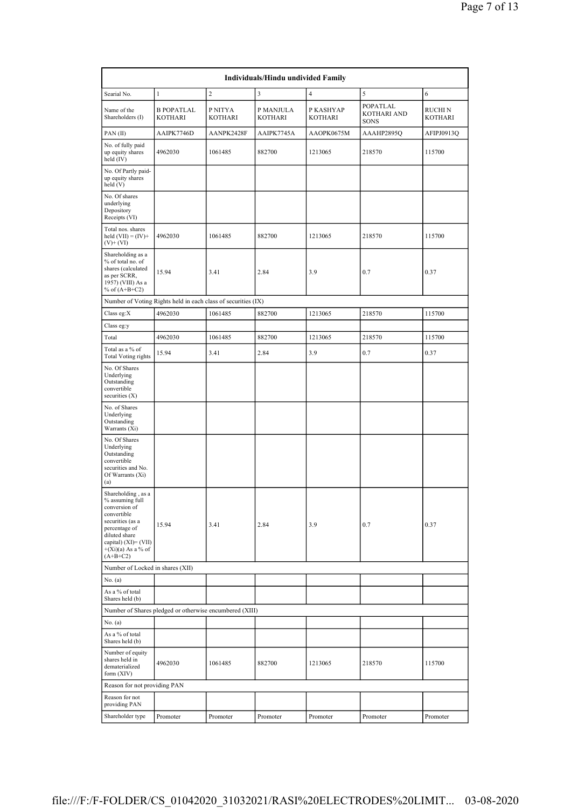| Individuals/Hindu undivided Family                                                                                                                                                        |                                                               |                           |                             |                      |                                 |                           |  |  |  |  |
|-------------------------------------------------------------------------------------------------------------------------------------------------------------------------------------------|---------------------------------------------------------------|---------------------------|-----------------------------|----------------------|---------------------------------|---------------------------|--|--|--|--|
| Searial No.                                                                                                                                                                               | $\mathbf{1}$                                                  | $\sqrt{2}$                | 3                           | $\overline{4}$       | 5                               | 6                         |  |  |  |  |
| Name of the<br>Shareholders (I)                                                                                                                                                           | <b>B POPATLAL</b><br>KOTHARI                                  | P NITYA<br><b>KOTHARI</b> | P MANJULA<br><b>KOTHARI</b> | P KASHYAP<br>KOTHARI | POPATLAL<br>KOTHARI AND<br>SONS | RUCHI N<br><b>KOTHARI</b> |  |  |  |  |
| PAN(II)                                                                                                                                                                                   | AAIPK7746D                                                    | AANPK2428F                | AAIPK7745A                  | AAOPK0675M           | AAAHP2895Q                      | AFIPJ0913Q                |  |  |  |  |
| No. of fully paid<br>up equity shares<br>held (IV)                                                                                                                                        | 4962030                                                       | 1061485                   | 882700                      | 1213065              | 218570                          | 115700                    |  |  |  |  |
| No. Of Partly paid-<br>up equity shares<br>held (V)                                                                                                                                       |                                                               |                           |                             |                      |                                 |                           |  |  |  |  |
| No. Of shares<br>underlying<br>Depository<br>Receipts (VI)                                                                                                                                |                                                               |                           |                             |                      |                                 |                           |  |  |  |  |
| Total nos. shares<br>held $(VII) = (IV) +$<br>$(V)$ + $(VI)$                                                                                                                              | 4962030                                                       | 1061485                   | 882700                      | 1213065              | 218570                          | 115700                    |  |  |  |  |
| Shareholding as a<br>% of total no. of<br>shares (calculated<br>as per SCRR,<br>1957) (VIII) As a<br>% of $(A+B+C2)$                                                                      | 15.94                                                         | 3.41                      | 2.84                        | 3.9                  | 0.7                             | 0.37                      |  |  |  |  |
|                                                                                                                                                                                           | Number of Voting Rights held in each class of securities (IX) |                           |                             |                      |                                 |                           |  |  |  |  |
| Class eg:X                                                                                                                                                                                | 4962030                                                       | 1061485                   | 882700                      | 1213065              | 218570                          | 115700                    |  |  |  |  |
| Class eg:y                                                                                                                                                                                |                                                               |                           |                             |                      |                                 |                           |  |  |  |  |
| Total                                                                                                                                                                                     | 4962030                                                       | 1061485                   | 882700                      | 1213065              | 218570                          | 115700                    |  |  |  |  |
| Total as a $\%$ of<br><b>Total Voting rights</b>                                                                                                                                          | 15.94                                                         | 3.41                      | 2.84                        | 3.9                  | 0.7                             | 0.37                      |  |  |  |  |
| No. Of Shares<br>Underlying<br>Outstanding<br>convertible<br>securities $(X)$                                                                                                             |                                                               |                           |                             |                      |                                 |                           |  |  |  |  |
| No. of Shares<br>Underlying<br>Outstanding<br>Warrants (Xi)                                                                                                                               |                                                               |                           |                             |                      |                                 |                           |  |  |  |  |
| No. Of Shares<br>Underlying<br>Outstanding<br>convertible<br>securities and No.<br>Of Warrants (Xi)<br>(a)                                                                                |                                                               |                           |                             |                      |                                 |                           |  |  |  |  |
| Shareholding, as a<br>% assuming full<br>conversion of<br>convertible<br>securities (as a<br>percentage of<br>diluted share<br>capital) (XI)= (VII)<br>$+(Xi)(a)$ As a % of<br>$(A+B+C2)$ | 15.94                                                         | 3.41                      | 2.84                        | 3.9                  | 0.7                             | 0.37                      |  |  |  |  |
| Number of Locked in shares (XII)                                                                                                                                                          |                                                               |                           |                             |                      |                                 |                           |  |  |  |  |
| No. (a)<br>As a % of total                                                                                                                                                                |                                                               |                           |                             |                      |                                 |                           |  |  |  |  |
| Shares held (b)                                                                                                                                                                           | Number of Shares pledged or otherwise encumbered (XIII)       |                           |                             |                      |                                 |                           |  |  |  |  |
| No. (a)                                                                                                                                                                                   |                                                               |                           |                             |                      |                                 |                           |  |  |  |  |
| As a % of total<br>Shares held (b)                                                                                                                                                        |                                                               |                           |                             |                      |                                 |                           |  |  |  |  |
| Number of equity<br>shares held in<br>dematerialized<br>form (XIV)                                                                                                                        | 4962030                                                       | 1061485                   | 882700                      | 1213065              | 218570                          | 115700                    |  |  |  |  |
| Reason for not providing PAN                                                                                                                                                              |                                                               |                           |                             |                      |                                 |                           |  |  |  |  |
| Reason for not<br>providing PAN                                                                                                                                                           |                                                               |                           |                             |                      |                                 |                           |  |  |  |  |
| Shareholder type                                                                                                                                                                          | Promoter                                                      | Promoter                  | Promoter                    | Promoter             | Promoter                        | Promoter                  |  |  |  |  |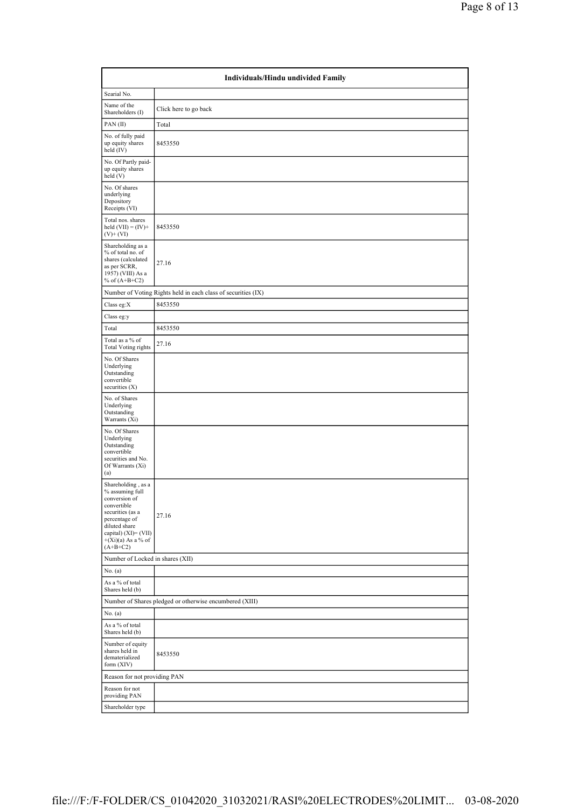|                                                                                                                                                                                              | Individuals/Hindu undivided Family                            |  |  |  |  |  |  |  |  |
|----------------------------------------------------------------------------------------------------------------------------------------------------------------------------------------------|---------------------------------------------------------------|--|--|--|--|--|--|--|--|
| Searial No.                                                                                                                                                                                  |                                                               |  |  |  |  |  |  |  |  |
| Name of the<br>Shareholders (I)                                                                                                                                                              | Click here to go back                                         |  |  |  |  |  |  |  |  |
| PAN(II)                                                                                                                                                                                      | Total                                                         |  |  |  |  |  |  |  |  |
| No. of fully paid<br>up equity shares<br>held $(IV)$                                                                                                                                         | 8453550                                                       |  |  |  |  |  |  |  |  |
| No. Of Partly paid-<br>up equity shares<br>held(V)                                                                                                                                           |                                                               |  |  |  |  |  |  |  |  |
| No. Of shares<br>underlying<br>Depository<br>Receipts (VI)                                                                                                                                   |                                                               |  |  |  |  |  |  |  |  |
| Total nos. shares<br>held $(VII) = (IV) +$<br>$(V)+(VI)$                                                                                                                                     | 8453550                                                       |  |  |  |  |  |  |  |  |
| Shareholding as a<br>% of total no. of<br>shares (calculated<br>as per SCRR,<br>1957) (VIII) As a<br>% of $(A+B+C2)$                                                                         | 27.16                                                         |  |  |  |  |  |  |  |  |
|                                                                                                                                                                                              | Number of Voting Rights held in each class of securities (IX) |  |  |  |  |  |  |  |  |
| Class eg:X                                                                                                                                                                                   | 8453550                                                       |  |  |  |  |  |  |  |  |
| Class eg:y                                                                                                                                                                                   |                                                               |  |  |  |  |  |  |  |  |
| Total                                                                                                                                                                                        | 8453550                                                       |  |  |  |  |  |  |  |  |
| Total as a % of<br><b>Total Voting rights</b>                                                                                                                                                | 27.16                                                         |  |  |  |  |  |  |  |  |
| No. Of Shares<br>Underlying<br>Outstanding<br>convertible<br>securities $(X)$                                                                                                                |                                                               |  |  |  |  |  |  |  |  |
| No. of Shares<br>Underlying<br>Outstanding<br>Warrants (Xi)                                                                                                                                  |                                                               |  |  |  |  |  |  |  |  |
| No. Of Shares<br>Underlying<br>Outstanding<br>convertible<br>securities and No.<br>Of Warrants (Xi)<br>(a)                                                                                   |                                                               |  |  |  |  |  |  |  |  |
| Shareholding, as a<br>% assuming full<br>conversion of<br>convertible<br>securities (as a<br>percentage of<br>diluted share<br>capital) $(XI) = (VII)$<br>$+(Xi)(a)$ As a % of<br>$(A+B+C2)$ | 27.16                                                         |  |  |  |  |  |  |  |  |
| Number of Locked in shares (XII)                                                                                                                                                             |                                                               |  |  |  |  |  |  |  |  |
| No. (a)<br>As a % of total<br>Shares held (b)                                                                                                                                                |                                                               |  |  |  |  |  |  |  |  |
|                                                                                                                                                                                              | Number of Shares pledged or otherwise encumbered (XIII)       |  |  |  |  |  |  |  |  |
| No. $(a)$                                                                                                                                                                                    |                                                               |  |  |  |  |  |  |  |  |
| As a % of total<br>Shares held (b)                                                                                                                                                           |                                                               |  |  |  |  |  |  |  |  |
| Number of equity<br>shares held in<br>dematerialized<br>form (XIV)                                                                                                                           | 8453550                                                       |  |  |  |  |  |  |  |  |
| Reason for not providing PAN                                                                                                                                                                 |                                                               |  |  |  |  |  |  |  |  |
| Reason for not<br>providing PAN                                                                                                                                                              |                                                               |  |  |  |  |  |  |  |  |
| Shareholder type                                                                                                                                                                             |                                                               |  |  |  |  |  |  |  |  |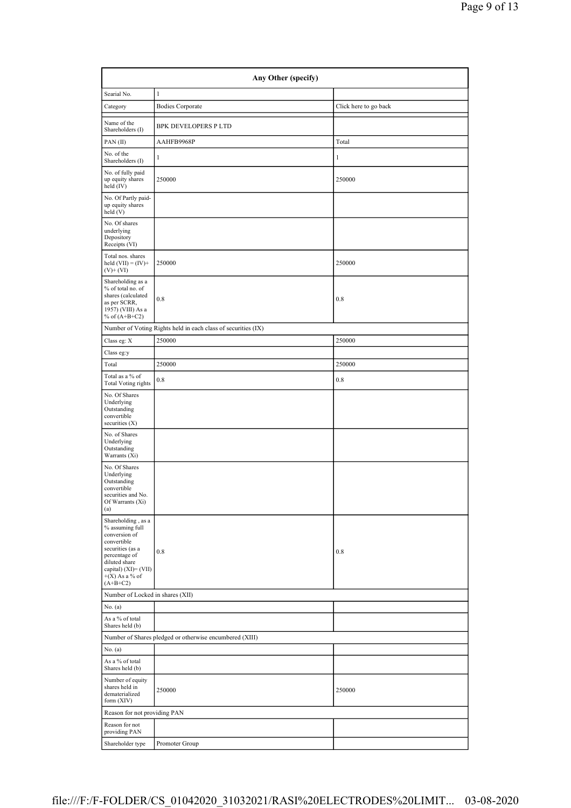| Any Other (specify)                                                                                                                                                                      |                                                               |                       |  |  |  |  |  |  |  |
|------------------------------------------------------------------------------------------------------------------------------------------------------------------------------------------|---------------------------------------------------------------|-----------------------|--|--|--|--|--|--|--|
| Searial No.                                                                                                                                                                              | $\mathbf{1}$                                                  |                       |  |  |  |  |  |  |  |
| Category                                                                                                                                                                                 | <b>Bodies Corporate</b>                                       | Click here to go back |  |  |  |  |  |  |  |
| Name of the<br>Shareholders (I)                                                                                                                                                          | BPK DEVELOPERS P LTD                                          |                       |  |  |  |  |  |  |  |
| PAN(II)                                                                                                                                                                                  | AAHFB9968P                                                    | Total                 |  |  |  |  |  |  |  |
| No. of the<br>Shareholders (I)                                                                                                                                                           | 1                                                             | $\mathbf{1}$          |  |  |  |  |  |  |  |
| No. of fully paid<br>up equity shares<br>held (IV)                                                                                                                                       | 250000                                                        | 250000                |  |  |  |  |  |  |  |
| No. Of Partly paid-<br>up equity shares<br>held (V)                                                                                                                                      |                                                               |                       |  |  |  |  |  |  |  |
| No. Of shares<br>underlying<br>Depository<br>Receipts (VI)                                                                                                                               |                                                               |                       |  |  |  |  |  |  |  |
| Total nos. shares<br>held $(VII) = (IV) +$<br>$(V)$ + $(VI)$                                                                                                                             | 250000                                                        | 250000                |  |  |  |  |  |  |  |
| Shareholding as a<br>% of total no. of<br>shares (calculated<br>as per SCRR,<br>1957) (VIII) As a<br>% of $(A+B+C2)$                                                                     | 0.8                                                           | 0.8                   |  |  |  |  |  |  |  |
|                                                                                                                                                                                          | Number of Voting Rights held in each class of securities (IX) |                       |  |  |  |  |  |  |  |
| Class eg: X                                                                                                                                                                              | 250000                                                        | 250000                |  |  |  |  |  |  |  |
| Class eg:y                                                                                                                                                                               |                                                               |                       |  |  |  |  |  |  |  |
| Total                                                                                                                                                                                    | 250000                                                        | 250000                |  |  |  |  |  |  |  |
| Total as a % of<br><b>Total Voting rights</b>                                                                                                                                            | $0.8\,$                                                       | 0.8                   |  |  |  |  |  |  |  |
| No. Of Shares<br>Underlying<br>Outstanding<br>convertible<br>securities $(X)$                                                                                                            |                                                               |                       |  |  |  |  |  |  |  |
| No. of Shares<br>Underlying<br>Outstanding<br>Warrants (Xi)                                                                                                                              |                                                               |                       |  |  |  |  |  |  |  |
| No. Of Shares<br>Underlying<br>Outstanding<br>convertible<br>securities and No.<br>Of Warrants (Xi)<br>(a)                                                                               |                                                               |                       |  |  |  |  |  |  |  |
| Shareholding, as a<br>% assuming full<br>conversion of<br>convertible<br>securities (as a<br>percentage of<br>diluted share<br>capital) $(XI) = (VII)$<br>$+(X)$ As a % of<br>$(A+B+C2)$ | 0.8                                                           | 0.8                   |  |  |  |  |  |  |  |
| Number of Locked in shares (XII)                                                                                                                                                         |                                                               |                       |  |  |  |  |  |  |  |
| No. (a)                                                                                                                                                                                  |                                                               |                       |  |  |  |  |  |  |  |
| As a % of total<br>Shares held (b)                                                                                                                                                       |                                                               |                       |  |  |  |  |  |  |  |
|                                                                                                                                                                                          | Number of Shares pledged or otherwise encumbered (XIII)       |                       |  |  |  |  |  |  |  |
| No. (a)<br>As a % of total<br>Shares held (b)                                                                                                                                            |                                                               |                       |  |  |  |  |  |  |  |
| Number of equity<br>shares held in<br>dematerialized<br>form (XIV)                                                                                                                       | 250000                                                        | 250000                |  |  |  |  |  |  |  |
| Reason for not providing PAN                                                                                                                                                             |                                                               |                       |  |  |  |  |  |  |  |
| Reason for not<br>providing PAN                                                                                                                                                          |                                                               |                       |  |  |  |  |  |  |  |
| Shareholder type                                                                                                                                                                         | Promoter Group                                                |                       |  |  |  |  |  |  |  |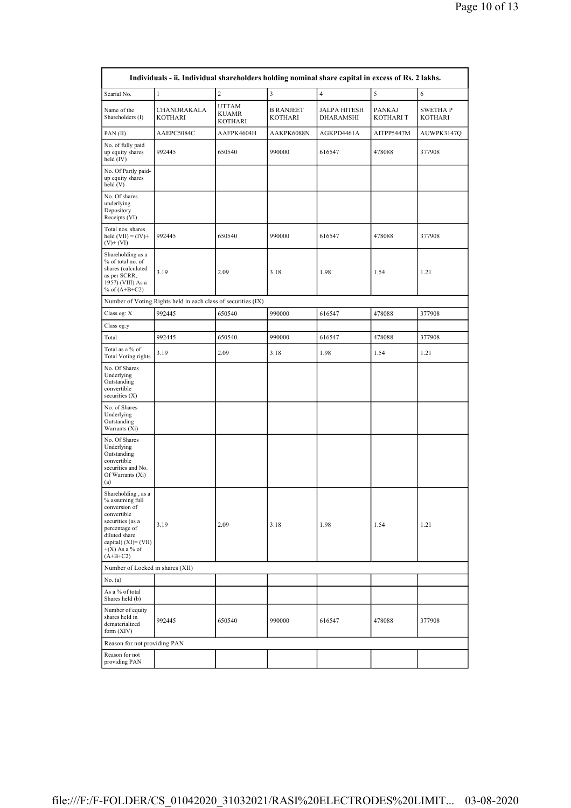|                                                                                                                                                                                          | Individuals - ii. Individual shareholders holding nominal share capital in excess of Rs. 2 lakhs. |                           |                                    |                                  |                     |                            |
|------------------------------------------------------------------------------------------------------------------------------------------------------------------------------------------|---------------------------------------------------------------------------------------------------|---------------------------|------------------------------------|----------------------------------|---------------------|----------------------------|
| Searial No.                                                                                                                                                                              | $\mathbf{1}$                                                                                      | $\overline{c}$            | $\overline{\mathbf{3}}$            | $\overline{4}$                   | 5                   | 6                          |
| Name of the<br>Shareholders (I)                                                                                                                                                          | CHANDRAKALA<br><b>KOTHARI</b>                                                                     | UTTAM<br>KUAMR<br>KOTHARI | <b>B RANJEET</b><br><b>KOTHARI</b> | JALPA HITESH<br><b>DHARAMSHI</b> | PANKAJ<br>KOTHARI T | SWETHA P<br><b>KOTHARI</b> |
| PAN(II)                                                                                                                                                                                  | AAEPC5084C                                                                                        | AAFPK4604H                | AAKPK6088N                         | AGKPD4461A                       | AITPP5447M          | AUWPK3147Q                 |
| No. of fully paid<br>up equity shares<br>held $(IV)$                                                                                                                                     | 992445                                                                                            | 650540                    | 990000                             | 616547                           | 478088              | 377908                     |
| No. Of Partly paid-<br>up equity shares<br>held (V)                                                                                                                                      |                                                                                                   |                           |                                    |                                  |                     |                            |
| No. Of shares<br>underlying<br>Depository<br>Receipts (VI)                                                                                                                               |                                                                                                   |                           |                                    |                                  |                     |                            |
| Total nos. shares<br>held $(VII) = (IV) +$<br>$(V)$ + $(VI)$                                                                                                                             | 992445                                                                                            | 650540                    | 990000                             | 616547                           | 478088              | 377908                     |
| Shareholding as a<br>% of total no. of<br>shares (calculated<br>as per SCRR,<br>1957) (VIII) As a<br>% of $(A+B+C2)$                                                                     | 3.19                                                                                              | 2.09                      | 3.18                               | 1.98                             | 1.54                | 1.21                       |
|                                                                                                                                                                                          | Number of Voting Rights held in each class of securities (IX)                                     |                           |                                    |                                  |                     |                            |
| Class eg: X                                                                                                                                                                              | 992445                                                                                            | 650540                    | 990000                             | 616547                           | 478088              | 377908                     |
| Class eg:y                                                                                                                                                                               |                                                                                                   |                           |                                    |                                  |                     |                            |
| Total                                                                                                                                                                                    | 992445                                                                                            | 650540                    | 990000                             | 616547                           | 478088              | 377908                     |
| Total as a % of<br><b>Total Voting rights</b>                                                                                                                                            | 3.19                                                                                              | 2.09                      | 3.18                               | 1.98                             | 1.54                | 1.21                       |
| No. Of Shares<br>Underlying<br>Outstanding<br>convertible<br>securities $(X)$                                                                                                            |                                                                                                   |                           |                                    |                                  |                     |                            |
| No. of Shares<br>Underlying<br>Outstanding<br>Warrants (Xi)                                                                                                                              |                                                                                                   |                           |                                    |                                  |                     |                            |
| No. Of Shares<br>Underlying<br>Outstanding<br>convertible<br>securities and No.<br>Of Warrants (Xi)<br>(a)                                                                               |                                                                                                   |                           |                                    |                                  |                     |                            |
| Shareholding, as a<br>% assuming full<br>conversion of<br>convertible<br>securities (as a<br>percentage of<br>diluted share<br>capital) $(XI) = (VII)$<br>$+(X)$ As a % of<br>$(A+B+C2)$ | 3.19                                                                                              | 2.09                      | 3.18                               | 1.98                             | 1.54                | 1.21                       |
| Number of Locked in shares (XII)                                                                                                                                                         |                                                                                                   |                           |                                    |                                  |                     |                            |
| No. (a)                                                                                                                                                                                  |                                                                                                   |                           |                                    |                                  |                     |                            |
| As a % of total<br>Shares held (b)                                                                                                                                                       |                                                                                                   |                           |                                    |                                  |                     |                            |
| Number of equity<br>shares held in<br>dematerialized<br>form $(XIV)$                                                                                                                     | 992445                                                                                            | 650540                    | 990000                             | 616547                           | 478088              | 377908                     |
| Reason for not providing PAN                                                                                                                                                             |                                                                                                   |                           |                                    |                                  |                     |                            |
| Reason for not<br>providing PAN                                                                                                                                                          |                                                                                                   |                           |                                    |                                  |                     |                            |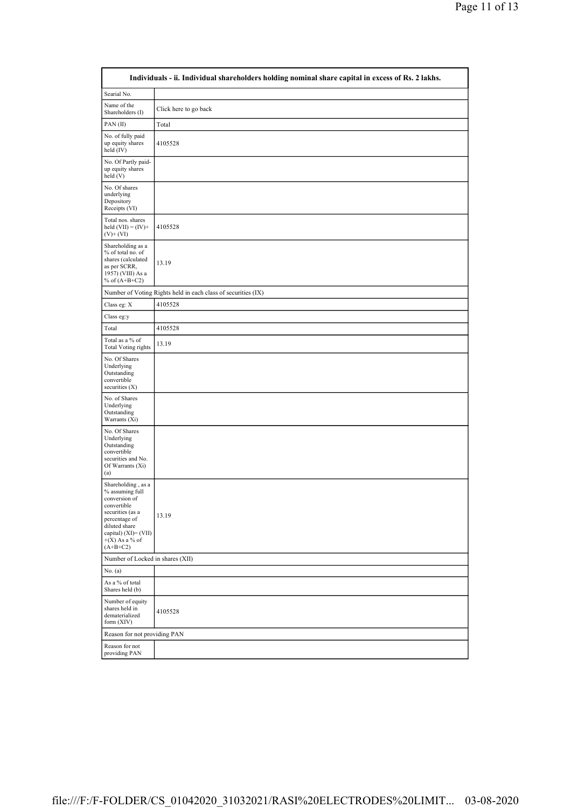|                                                                                                                                                                                          | Individuals - ii. Individual shareholders holding nominal share capital in excess of Rs. 2 lakhs. |
|------------------------------------------------------------------------------------------------------------------------------------------------------------------------------------------|---------------------------------------------------------------------------------------------------|
| Searial No.                                                                                                                                                                              |                                                                                                   |
| Name of the<br>Shareholders (I)                                                                                                                                                          | Click here to go back                                                                             |
| PAN(II)                                                                                                                                                                                  | Total                                                                                             |
| No. of fully paid<br>up equity shares<br>held $(IV)$                                                                                                                                     | 4105528                                                                                           |
| No. Of Partly paid-<br>up equity shares<br>held (V)                                                                                                                                      |                                                                                                   |
| No. Of shares<br>underlying<br>Depository<br>Receipts (VI)                                                                                                                               |                                                                                                   |
| Total nos. shares<br>held $(VII) = (IV) +$<br>$(V)+(VI)$                                                                                                                                 | 4105528                                                                                           |
| Shareholding as a<br>% of total no. of<br>shares (calculated<br>as per SCRR,<br>1957) (VIII) As a<br>% of $(A+B+C2)$                                                                     | 13.19                                                                                             |
|                                                                                                                                                                                          | Number of Voting Rights held in each class of securities (IX)                                     |
| Class eg: $\mathbf X$                                                                                                                                                                    | 4105528                                                                                           |
| Class eg:y                                                                                                                                                                               |                                                                                                   |
| Total                                                                                                                                                                                    | 4105528                                                                                           |
| Total as a % of<br><b>Total Voting rights</b>                                                                                                                                            | 13.19                                                                                             |
| No. Of Shares<br>Underlying<br>Outstanding<br>convertible<br>securities $(X)$                                                                                                            |                                                                                                   |
| No. of Shares<br>Underlying<br>Outstanding<br>Warrants (Xi)                                                                                                                              |                                                                                                   |
| No. Of Shares<br>Underlying<br>Outstanding<br>convertible<br>securities and No.<br>Of Warrants (Xi)<br>(a)                                                                               |                                                                                                   |
| Shareholding, as a<br>% assuming full<br>conversion of<br>convertible<br>securities (as a<br>percentage of<br>diluted share<br>capital) $(XI) = (VII)$<br>$+(X)$ As a % of<br>$(A+B+C2)$ | 13.19                                                                                             |
| Number of Locked in shares (XII)                                                                                                                                                         |                                                                                                   |
| No. (a)                                                                                                                                                                                  |                                                                                                   |
| As a % of total<br>Shares held (b)                                                                                                                                                       |                                                                                                   |
| Number of equity<br>shares held in<br>dematerialized<br>form (XIV)                                                                                                                       | 4105528                                                                                           |
| Reason for not providing PAN                                                                                                                                                             |                                                                                                   |
| Reason for not<br>providing PAN                                                                                                                                                          |                                                                                                   |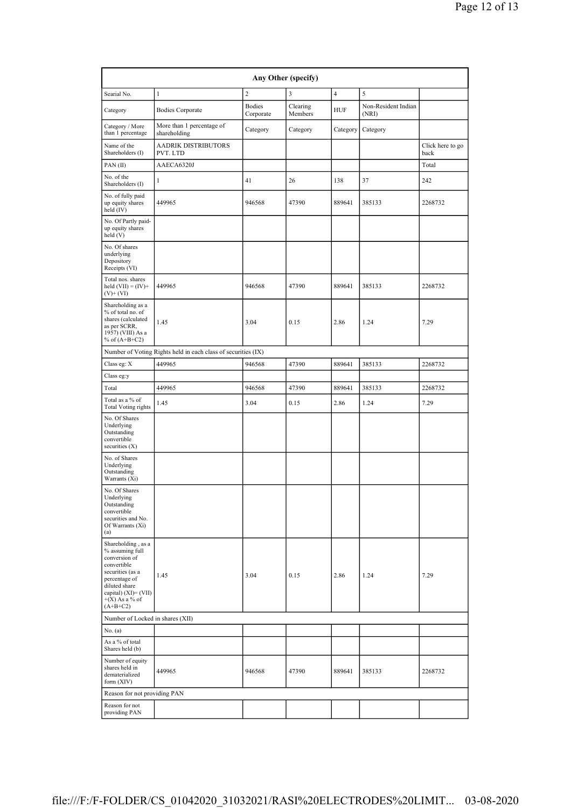| Any Other (specify)                                                                                                                                                                   |                                                               |                            |                     |                |                              |                          |  |  |  |
|---------------------------------------------------------------------------------------------------------------------------------------------------------------------------------------|---------------------------------------------------------------|----------------------------|---------------------|----------------|------------------------------|--------------------------|--|--|--|
| Searial No.                                                                                                                                                                           | $\mathbf{1}$                                                  | $\overline{2}$             | 3                   | $\overline{4}$ | 5                            |                          |  |  |  |
| Category                                                                                                                                                                              | <b>Bodies Corporate</b>                                       | <b>Bodies</b><br>Corporate | Clearing<br>Members | HUF            | Non-Resident Indian<br>(NRI) |                          |  |  |  |
| Category / More<br>than 1 percentage                                                                                                                                                  | More than 1 percentage of<br>shareholding                     | Category                   | Category            | Category       | Category                     |                          |  |  |  |
| Name of the<br>Shareholders (I)                                                                                                                                                       | AADRIK DISTRIBUTORS<br>PVT. LTD                               |                            |                     |                |                              | Click here to go<br>back |  |  |  |
| PAN(II)                                                                                                                                                                               | AAECA6320J                                                    |                            |                     |                |                              | Total                    |  |  |  |
| No. of the<br>Shareholders (I)                                                                                                                                                        | 1                                                             | 41                         | 26                  | 138            | 37                           | 242                      |  |  |  |
| No. of fully paid<br>up equity shares<br>held (IV)                                                                                                                                    | 449965                                                        | 946568                     | 47390               | 889641         | 385133                       | 2268732                  |  |  |  |
| No. Of Partly paid-<br>up equity shares<br>held (V)                                                                                                                                   |                                                               |                            |                     |                |                              |                          |  |  |  |
| No. Of shares<br>underlying<br>Depository<br>Receipts (VI)                                                                                                                            |                                                               |                            |                     |                |                              |                          |  |  |  |
| Total nos. shares<br>held $(VII) = (IV) +$<br>$(V)$ + $(VI)$                                                                                                                          | 449965                                                        | 946568                     | 47390               | 889641         | 385133                       | 2268732                  |  |  |  |
| Shareholding as a<br>% of total no. of<br>shares (calculated<br>as per SCRR,<br>1957) (VIII) As a<br>% of $(A+B+C2)$                                                                  | 1.45                                                          | 3.04                       | 0.15                | 2.86           | 1.24                         | 7.29                     |  |  |  |
|                                                                                                                                                                                       | Number of Voting Rights held in each class of securities (IX) |                            |                     |                |                              |                          |  |  |  |
| Class eg: X                                                                                                                                                                           | 449965                                                        | 946568                     | 47390               | 889641         | 385133                       | 2268732                  |  |  |  |
| Class eg:y                                                                                                                                                                            |                                                               |                            |                     |                |                              |                          |  |  |  |
| Total                                                                                                                                                                                 | 449965                                                        | 946568                     | 47390               | 889641         | 385133                       | 2268732                  |  |  |  |
| Total as a % of<br><b>Total Voting rights</b>                                                                                                                                         | 1.45                                                          | 3.04                       | 0.15                | 2.86           | 1.24                         | 7.29                     |  |  |  |
| No. Of Shares<br>Underlying<br>Outstanding<br>convertible<br>securities $(X)$                                                                                                         |                                                               |                            |                     |                |                              |                          |  |  |  |
| No. of Shares<br>Underlying<br>Outstanding<br>Warrants (Xi)                                                                                                                           |                                                               |                            |                     |                |                              |                          |  |  |  |
| No. Of Shares<br>Underlying<br>Outstanding<br>convertible<br>securities and No.<br>Of Warrants (Xi)<br>(a)                                                                            |                                                               |                            |                     |                |                              |                          |  |  |  |
| Shareholding, as a<br>% assuming full<br>conversion of<br>convertible<br>securities (as a<br>percentage of<br>diluted share<br>capital) (XI)= (VII)<br>$+(X)$ As a % of<br>$(A+B+C2)$ | 1.45                                                          | 3.04                       | 0.15                | 2.86           | 1.24                         | 7.29                     |  |  |  |
| Number of Locked in shares (XII)                                                                                                                                                      |                                                               |                            |                     |                |                              |                          |  |  |  |
| No. (a)                                                                                                                                                                               |                                                               |                            |                     |                |                              |                          |  |  |  |
| As a % of total<br>Shares held (b)                                                                                                                                                    |                                                               |                            |                     |                |                              |                          |  |  |  |
| Number of equity<br>shares held in<br>dematerialized<br>form $(XIV)$                                                                                                                  | 449965                                                        | 946568                     | 47390               | 889641         | 385133                       | 2268732                  |  |  |  |
| Reason for not providing PAN                                                                                                                                                          |                                                               |                            |                     |                |                              |                          |  |  |  |
| Reason for not<br>providing PAN                                                                                                                                                       |                                                               |                            |                     |                |                              |                          |  |  |  |